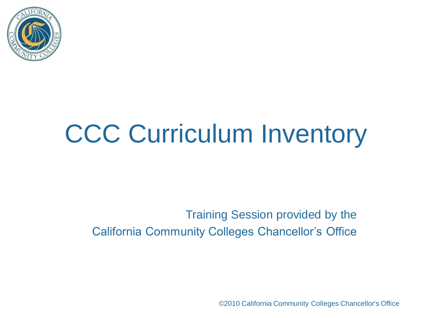

#### Training Session provided by the California Community Colleges Chancellor's Office

©2010 California Community Colleges Chancellor's Office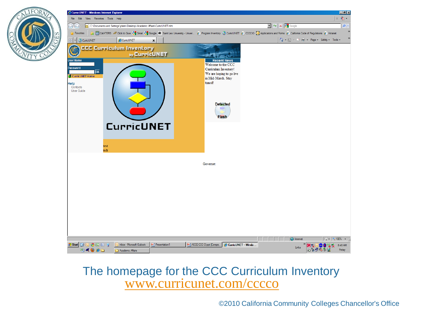

#### The homepage for the CCC Curriculum Inventory [www.curricunet.com/cccco](http://www.curricunet.com/cccco)

©2010 California Community Colleges Chancellor's Office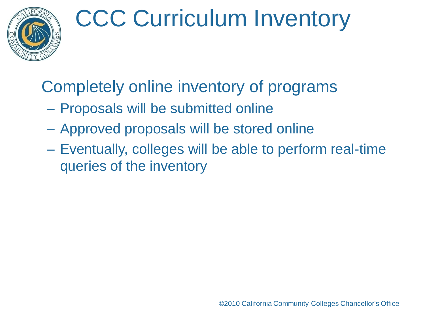

## Completely online inventory of programs

- Proposals will be submitted online
- Approved proposals will be stored online
- Eventually, colleges will be able to perform real-time queries of the inventory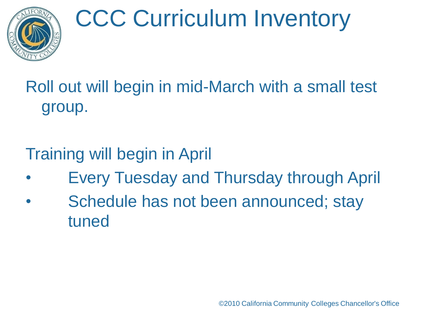

## Roll out will begin in mid-March with a small test group.

### Training will begin in April

- Every Tuesday and Thursday through April
- Schedule has not been announced; stay tuned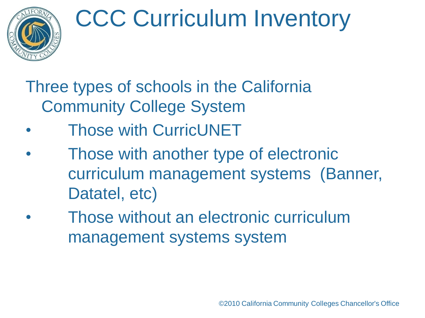### Three types of schools in the California Community College System

- Those with CurricUNET
- Those with another type of electronic curriculum management systems (Banner, Datatel, etc)
- Those without an electronic curriculum management systems system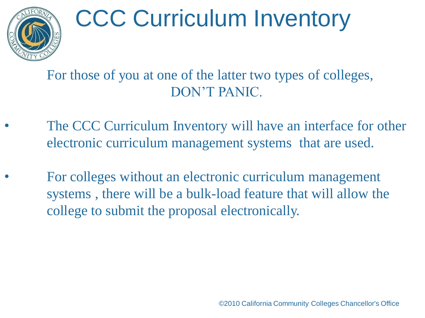

For those of you at one of the latter two types of colleges, DON'T PANIC.

- The CCC Curriculum Inventory will have an interface for other electronic curriculum management systems that are used.
- For colleges without an electronic curriculum management systems , there will be a bulk-load feature that will allow the college to submit the proposal electronically.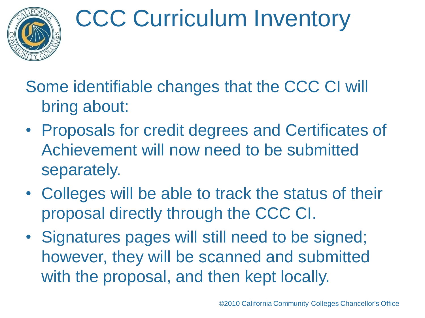

Some identifiable changes that the CCC CI will bring about:

- Proposals for credit degrees and Certificates of Achievement will now need to be submitted separately.
- Colleges will be able to track the status of their proposal directly through the CCC CI.
- Signatures pages will still need to be signed; however, they will be scanned and submitted with the proposal, and then kept locally.